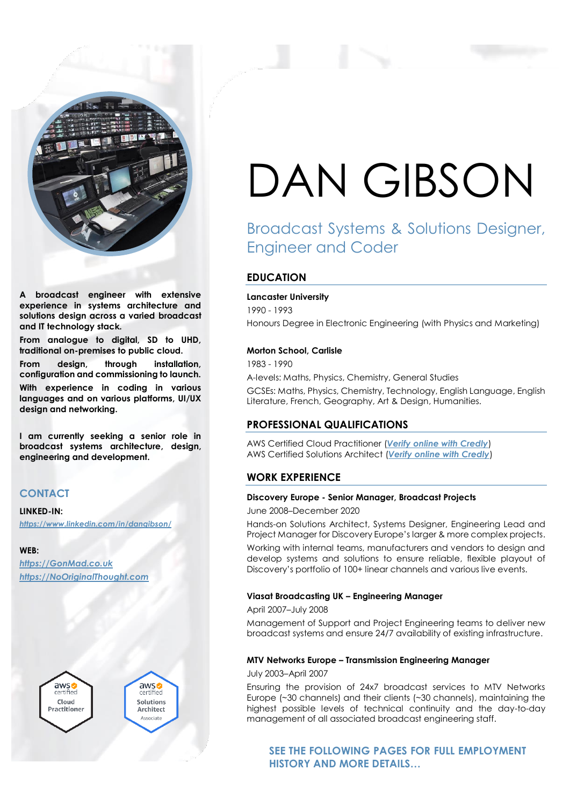

**A broadcast engineer with extensive experience in systems architecture and solutions design across a varied broadcast and IT technology stack.**

**From analogue to digital, SD to UHD, traditional on-premises to public cloud. From design, through installation, configuration and commissioning to launch. With experience in coding in various languages and on various platforms, UI/UX design and networking.**

**I am currently seeking a senior role in broadcast systems architecture, design, engineering and development.**

# **CONTACT**

## **LINKED-IN:**

*<https://www.linkedin.com/in/dangibson/>*

## **WEB:**

*[https://GonMad.co.uk](https://gonmad.co.uk/) [https://NoOriginalThought.com](https://nooriginalthought.com/)*



# DAN GIBSON

# Broadcast Systems & Solutions Designer, Engineer and Coder

# **EDUCATION**

# **Lancaster University**

1990 - 1993 Honours Degree in Electronic Engineering (with Physics and Marketing)

# **Morton School, Carlisle**

1983 - 1990

A-levels: Maths, Physics, Chemistry, General Studies GCSEs: Maths, Physics, Chemistry, Technology, English Language, English Literature, French, Geography, Art & Design, Humanities.

# **PROFESSIONAL QUALIFICATIONS**

AWS Certified Cloud Practitioner (*[Verify online with Credly](https://www.credly.com/badges/6f574830-3c9b-4de2-9b65-15b5b9f02a56)*) AWS Certified Solutions Architect (*[Verify online with Credly](https://www.credly.com/badges/9a2a211f-c81a-46ec-9b45-5b3460f535e4)*)

# **WORK EXPERIENCE**

# **Discovery Europe - Senior Manager, Broadcast Projects**

June 2008–December 2020

Hands-on Solutions Architect, Systems Designer, Engineering Lead and Project Manager for Discovery Europe's larger & more complex projects.

Working with internal teams, manufacturers and vendors to design and develop systems and solutions to ensure reliable, flexible playout of Discovery's portfolio of 100+ linear channels and various live events.

# **Viasat Broadcasting UK – Engineering Manager**

April 2007–July 2008

Management of Support and Project Engineering teams to deliver new broadcast systems and ensure 24/7 availability of existing infrastructure.

## **MTV Networks Europe – Transmission Engineering Manager**

July 2003–April 2007

Ensuring the provision of 24x7 broadcast services to MTV Networks Europe (~30 channels) and their clients (~30 channels), maintaining the highest possible levels of technical continuity and the day-to-day management of all associated broadcast engineering staff.

**SEE THE FOLLOWING PAGES FOR FULL EMPLOYMENT HISTORY AND MORE DETAILS…**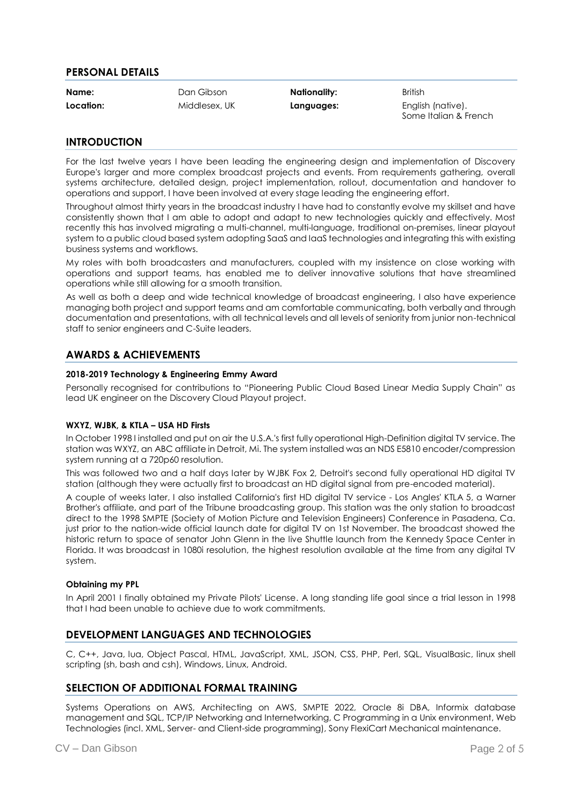# **PERSONAL DETAILS**

**Name:** Dan Gibson **Nationality:** British

**Location:** Middlesex, UK **Languages:** English (native). Some Italian & French

# **INTRODUCTION**

For the last twelve years I have been leading the engineering design and implementation of Discovery Europe's larger and more complex broadcast projects and events. From requirements gathering, overall systems architecture, detailed design, project implementation, rollout, documentation and handover to operations and support, I have been involved at every stage leading the engineering effort.

Throughout almost thirty years in the broadcast industry I have had to constantly evolve my skillset and have consistently shown that I am able to adopt and adapt to new technologies quickly and effectively. Most recently this has involved migrating a multi-channel, multi-language, traditional on-premises, linear playout system to a public cloud based system adopting SaaS and IaaS technologies and integrating this with existing business systems and workflows.

My roles with both broadcasters and manufacturers, coupled with my insistence on close working with operations and support teams, has enabled me to deliver innovative solutions that have streamlined operations while still allowing for a smooth transition.

As well as both a deep and wide technical knowledge of broadcast engineering, I also have experience managing both project and support teams and am comfortable communicating, both verbally and through documentation and presentations, with all technical levels and all levels of seniority from junior non-technical staff to senior engineers and C-Suite leaders.

# **AWARDS & ACHIEVEMENTS**

# **2018-2019 Technology & Engineering Emmy Award**

Personally recognised for contributions to "Pioneering Public Cloud Based Linear Media Supply Chain" as lead UK engineer on the Discovery Cloud Playout project.

# **WXYZ, WJBK, & KTLA – USA HD Firsts**

In October 1998 I installed and put on air the U.S.A.'s first fully operational High-Definition digital TV service. The station was WXYZ, an ABC affiliate in Detroit, Mi. The system installed was an NDS E5810 encoder/compression system running at a 720p60 resolution.

This was followed two and a half days later by WJBK Fox 2, Detroit's second fully operational HD digital TV station (although they were actually first to broadcast an HD digital signal from pre-encoded material).

A couple of weeks later, I also installed California's first HD digital TV service - Los Angles' KTLA 5, a Warner Brother's affiliate, and part of the Tribune broadcasting group. This station was the only station to broadcast direct to the 1998 SMPTE (Society of Motion Picture and Television Engineers) Conference in Pasadena, Ca. just prior to the nation-wide official launch date for digital TV on 1st November. The broadcast showed the historic return to space of senator John Glenn in the live Shuttle launch from the Kennedy Space Center in Florida. It was broadcast in 1080i resolution, the highest resolution available at the time from any digital TV system.

# **Obtaining my PPL**

In April 2001 I finally obtained my Private Pilots' License. A long standing life goal since a trial lesson in 1998 that I had been unable to achieve due to work commitments.

# **DEVELOPMENT LANGUAGES AND TECHNOLOGIES**

C, C++, Java, lua, Object Pascal, HTML, JavaScript, XML, JSON, CSS, PHP, Perl, SQL, VisualBasic, linux shell scripting (sh, bash and csh), Windows, Linux, Android.

# **SELECTION OF ADDITIONAL FORMAL TRAINING**

Systems Operations on AWS, Architecting on AWS, SMPTE 2022, Oracle 8i DBA, Informix database management and SQL, TCP/IP Networking and Internetworking, C Programming in a Unix environment, Web Technologies (incl. XML, Server- and Client-side programming), Sony FlexiCart Mechanical maintenance.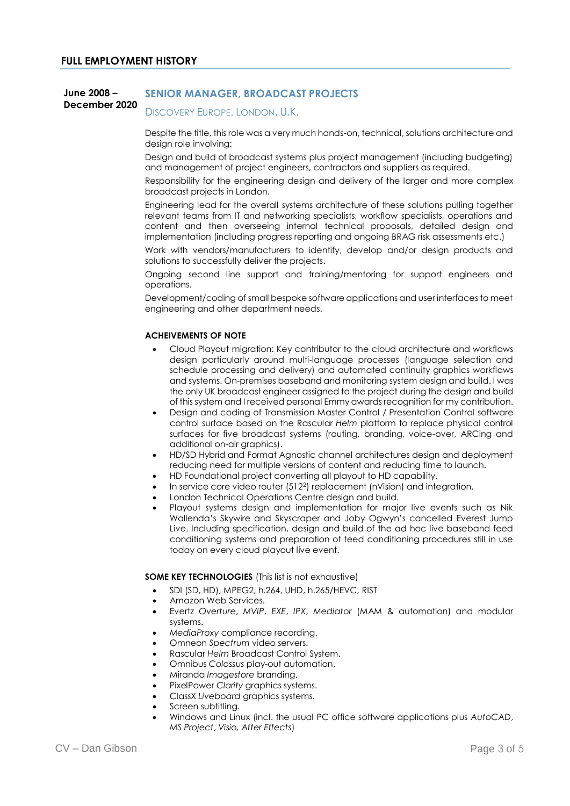#### **June 2008 – December 2020 SENIOR MANAGER, BROADCAST PROJECTS** DISCOVERY FUROPE, LONDON, U.K.

Despite the title, this role was a very much hands-on, technical, solutions architecture and design role involving:

Design and build of broadcast systems plus project management (including budgeting) and management of project engineers, contractors and suppliers as required.

Responsibility for the engineering design and delivery of the larger and more complex broadcast projects in London.

Engineering lead for the overall systems architecture of these solutions pulling together relevant teams from IT and networking specialists, workflow specialists, operations and content and then overseeing internal technical proposals, detailed design and implementation (including progress reporting and ongoing BRAG risk assessments etc.)

Work with vendors/manufacturers to identify, develop and/or design products and solutions to successfully deliver the projects.

Ongoing second line support and training/mentoring for support engineers and operations.

Development/coding of small bespoke software applications and user interfaces to meet engineering and other department needs.

# **ACHEIVEMENTS OF NOTE**

- Cloud Playout migration: Key contributor to the cloud architecture and workflows design particularly around multi-language processes (language selection and schedule processing and delivery) and automated continuity graphics workflows and systems. On-premises baseband and monitoring system design and build. I was the only UK broadcast engineer assigned to the project during the design and build of this system and I received personal Emmy awards recognition for my contribution.
- Design and coding of Transmission Master Control / Presentation Control software control surface based on the Rascular *Helm* platform to replace physical control surfaces for five broadcast systems (routing, branding, voice-over, ARCing and additional on-air graphics).
- HD/SD Hybrid and Format Agnostic channel architectures design and deployment reducing need for multiple versions of content and reducing time to launch.
- HD Foundational project converting all playout to HD capability.
- In service core video router (512<sup>2</sup>) replacement (nVision) and integration.
- London Technical Operations Centre design and build.
- Playout systems design and implementation for major live events such as Nik Wallenda's Skywire and Skyscraper and Joby Ogwyn's cancelled Everest Jump Live. Including specification, design and build of the ad hoc live baseband feed conditioning systems and preparation of feed conditioning procedures still in use today on every cloud playout live event.

## **SOME KEY TECHNOLOGIES** (This list is not exhaustive)

- SDI (SD, HD), MPEG2, h.264, UHD, h.265/HEVC, RIST
- Amazon Web Services.
- Evertz *Overture*, *MVIP*, *EXE*, *IPX*, *Mediator* (MAM & automation) and modular systems.
- *MediaProxy* compliance recording.
- Omneon *Spectrum* video servers.
- Rascular *Helm* Broadcast Control System.
- Omnibus *Colossus* play-out automation.
- Miranda *Imagestore* branding.
- PixelPower *Clarity* graphics systems.
- ClassX *Liveboard* graphics systems.
- Screen subtitling.
- Windows and Linux (incl. the usual PC office software applications plus *AutoCAD*, *MS Project*, *Visio, After Effects*)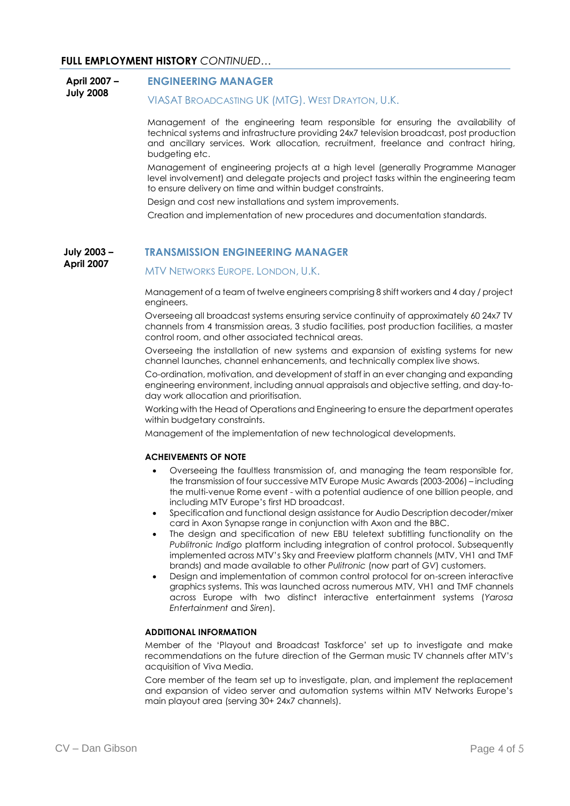### **April 2007 – July 2008 ENGINEERING MANAGER** VIASAT BROADCASTING UK (MTG). WEST DRAYTON, U.K.

Management of the engineering team responsible for ensuring the availability of technical systems and infrastructure providing 24x7 television broadcast, post production and ancillary services. Work allocation, recruitment, freelance and contract hiring, budgeting etc.

Management of engineering projects at a high level (generally Programme Manager level involvement) and delegate projects and project tasks within the engineering team to ensure delivery on time and within budget constraints.

Design and cost new installations and system improvements.

Creation and implementation of new procedures and documentation standards.

#### **July 2003 – April 2007 TRANSMISSION ENGINEERING MANAGER**

# MTV NETWORKS EUROPE. LONDON, U.K.

Management of a team of twelve engineers comprising 8 shift workers and 4 day / project engineers.

Overseeing all broadcast systems ensuring service continuity of approximately 60 24x7 TV channels from 4 transmission areas, 3 studio facilities, post production facilities, a master control room, and other associated technical areas.

Overseeing the installation of new systems and expansion of existing systems for new channel launches, channel enhancements, and technically complex live shows.

Co-ordination, motivation, and development of staff in an ever changing and expanding engineering environment, including annual appraisals and objective setting, and day-today work allocation and prioritisation.

Working with the Head of Operations and Engineering to ensure the department operates within budgetary constraints.

Management of the implementation of new technological developments.

# **ACHEIVEMENTS OF NOTE**

- Overseeing the faultless transmission of, and managing the team responsible for, the transmission of four successive MTV Europe Music Awards (2003-2006) – including the multi-venue Rome event - with a potential audience of one billion people, and including MTV Europe's first HD broadcast.
- Specification and functional design assistance for Audio Description decoder/mixer card in Axon Synapse range in conjunction with Axon and the BBC.
- The design and specification of new EBU teletext subtitling functionality on the *Publitronic Indigo* platform including integration of control protocol. Subsequently implemented across MTV's Sky and Freeview platform channels (MTV, VH1 and TMF brands) and made available to other *Pulitronic* (now part of *GV*) customers.
- Design and implementation of common control protocol for on-screen interactive graphics systems. This was launched across numerous MTV, VH1 and TMF channels across Europe with two distinct interactive entertainment systems (*Yarosa Entertainment* and *Siren*).

# **ADDITIONAL INFORMATION**

Member of the 'Playout and Broadcast Taskforce' set up to investigate and make recommendations on the future direction of the German music TV channels after MTV's acquisition of Viva Media.

Core member of the team set up to investigate, plan, and implement the replacement and expansion of video server and automation systems within MTV Networks Europe's main playout area (serving 30+ 24x7 channels).